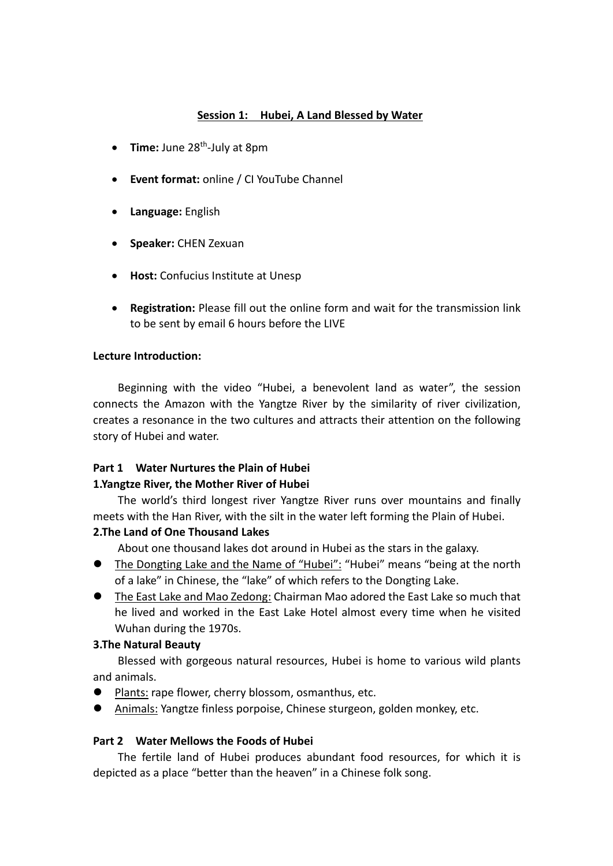## **Session 1: Hubei, A Land Blessed by Water**

- **Time:** June 28<sup>th</sup>-July at 8pm
- **Event format:** online / CI YouTube Channel
- **Language:** English
- **Speaker:** CHEN Zexuan
- **Host:** Confucius Institute at Unesp
- **Registration:** Please fill out the online form and wait for the transmission link to be sent by email 6 hours before the LIVE

#### **Lecture Introduction:**

Beginning with the video "Hubei, a benevolent land as water", the session connects the Amazon with the Yangtze River by the similarity of river civilization, creates a resonance in the two cultures and attracts their attention on the following story of Hubei and water.

## **Part 1 Water Nurtures the Plain of Hubei**

### **1.Yangtze River, the Mother River of Hubei**

The world's third longest river Yangtze River runs over mountains and finally meets with the Han River, with the silt in the water left forming the Plain of Hubei.

### **2.The Land of One Thousand Lakes**

About one thousand lakes dot around in Hubei as the stars in the galaxy.

- The Dongting Lake and the Name of "Hubei": "Hubei" means "being at the north of a lake" in Chinese, the "lake" of which refers to the Dongting Lake.
- l The East Lake and Mao Zedong: Chairman Mao adored the East Lake so much that he lived and worked in the East Lake Hotel almost every time when he visited Wuhan during the 1970s.

### **3.The Natural Beauty**

Blessed with gorgeous natural resources, Hubei is home to various wild plants and animals.

- l Plants: rape flower, cherry blossom, osmanthus, etc.
- l Animals: Yangtze finless porpoise, Chinese sturgeon, golden monkey, etc.

### **Part 2 Water Mellows the Foods of Hubei**

The fertile land of Hubei produces abundant food resources, for which it is depicted as a place "better than the heaven" in a Chinese folk song.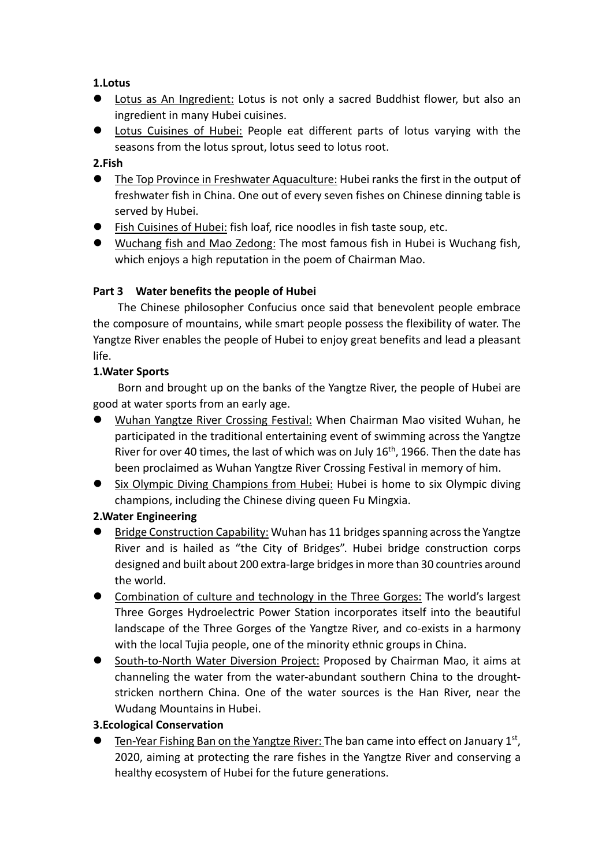## **1.Lotus**

- **•** Lotus as An Ingredient: Lotus is not only a sacred Buddhist flower, but also an ingredient in many Hubei cuisines.
- **•** Lotus Cuisines of Hubei: People eat different parts of lotus varying with the seasons from the lotus sprout, lotus seed to lotus root.

## **2.Fish**

- **The Top Province in Freshwater Aquaculture: Hubei ranks the first in the output of** freshwater fish in China. One out of every seven fishes on Chinese dinning table is served by Hubei.
- l Fish Cuisines of Hubei: fish loaf, rice noodles in fish taste soup, etc.
- l Wuchang fish and Mao Zedong: The most famous fish in Hubei is Wuchang fish, which enjoys a high reputation in the poem of Chairman Mao.

## **Part 3 Water benefits the people of Hubei**

The Chinese philosopher Confucius once said that benevolent people embrace the composure of mountains, while smart people possess the flexibility of water. The Yangtze River enables the people of Hubei to enjoy great benefits and lead a pleasant life.

## **1.Water Sports**

Born and brought up on the banks of the Yangtze River, the people of Hubei are good at water sports from an early age.

- l Wuhan Yangtze River Crossing Festival: When Chairman Mao visited Wuhan, he participated in the traditional entertaining event of swimming across the Yangtze River for over 40 times, the last of which was on July 16<sup>th</sup>, 1966. Then the date has been proclaimed as Wuhan Yangtze River Crossing Festival in memory of him.
- Six Olympic Diving Champions from Hubei: Hubei is home to six Olympic diving champions, including the Chinese diving queen Fu Mingxia.

# **2.Water Engineering**

- $\bullet$  Bridge Construction Capability: Wuhan has 11 bridges spanning across the Yangtze River and is hailed as "the City of Bridges". Hubei bridge construction corps designed and built about 200 extra-large bridges in more than 30 countries around the world.
- **•** Combination of culture and technology in the Three Gorges: The world's largest Three Gorges Hydroelectric Power Station incorporates itself into the beautiful landscape of the Three Gorges of the Yangtze River, and co-exists in a harmony with the local Tujia people, one of the minority ethnic groups in China.
- l South-to-North Water Diversion Project: Proposed by Chairman Mao, it aims at channeling the water from the water-abundant southern China to the droughtstricken northern China. One of the water sources is the Han River, near the Wudang Mountains in Hubei.

## **3.Ecological Conservation**

Ten-Year Fishing Ban on the Yangtze River: The ban came into effect on January  $1<sup>st</sup>$ , 2020, aiming at protecting the rare fishes in the Yangtze River and conserving a healthy ecosystem of Hubei for the future generations.